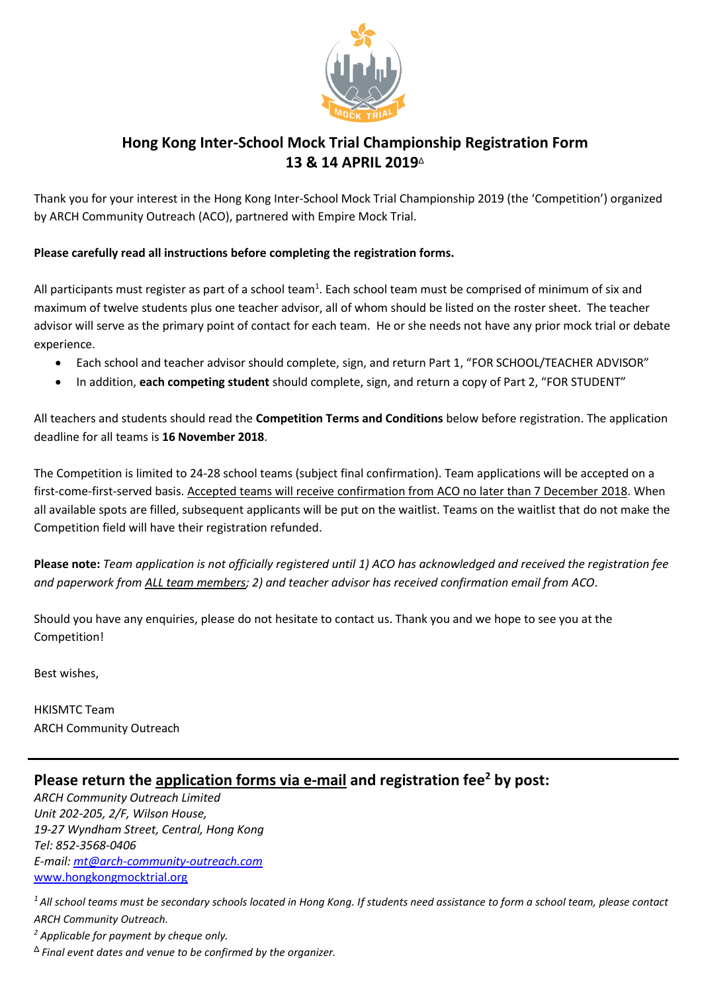

## **Hong Kong Inter-School Mock Trial Championship Registration Form 13 & 14 APRIL 2019**<sup>Δ</sup>

Thank you for your interest in the Hong Kong Inter-School Mock Trial Championship 2019 (the 'Competition') organized by ARCH Community Outreach (ACO), partnered with Empire Mock Trial.

### **Please carefully read all instructions before completing the registration forms.**

All participants must register as part of a school team<sup>1</sup>. Each school team must be comprised of minimum of six and maximum of twelve students plus one teacher advisor, all of whom should be listed on the roster sheet. The teacher advisor will serve as the primary point of contact for each team. He or she needs not have any prior mock trial or debate experience.

- Each school and teacher advisor should complete, sign, and return Part 1, "FOR SCHOOL/TEACHER ADVISOR"
- In addition, **each competing student** should complete, sign, and return a copy of Part 2, "FOR STUDENT"

All teachers and students should read the **Competition Terms and Conditions** below before registration. The application deadline for all teams is **16 November 2018**.

The Competition is limited to 24-28 school teams (subject final confirmation). Team applications will be accepted on a first-come-first-served basis. Accepted teams will receive confirmation from ACO no later than 7 December 2018. When all available spots are filled, subsequent applicants will be put on the waitlist. Teams on the waitlist that do not make the Competition field will have their registration refunded.

**Please note:** *Team application is not officially registered until 1) ACO has acknowledged and received the registration fee and paperwork from ALL team members; 2) and teacher advisor has received confirmation email from ACO*.

Should you have any enquiries, please do not hesitate to contact us. Thank you and we hope to see you at the Competition!

Best wishes,

HKISMTC Team ARCH Community Outreach

## **Please return the application forms via e-mail and registration fee<sup>2</sup> by post:**

*ARCH Community Outreach Limited Unit 202-205, 2/F, Wilson House, 19-27 Wyndham Street, Central, Hong Kong Tel: 852-3568-0406 E-mail: [mt@arch-community-outreach.com](mailto:mt@arch-community-outreach.com)* [www.hongkongmocktrial.org](http://www.hongkongmocktrial.org/)

*<sup>1</sup>All school teams must be secondary schools located in Hong Kong. If students need assistance to form a school team, please contact ARCH Community Outreach.*

*<sup>2</sup> Applicable for payment by cheque only.*

<sup>Δ</sup>*Final event dates and venue to be confirmed by the organizer.*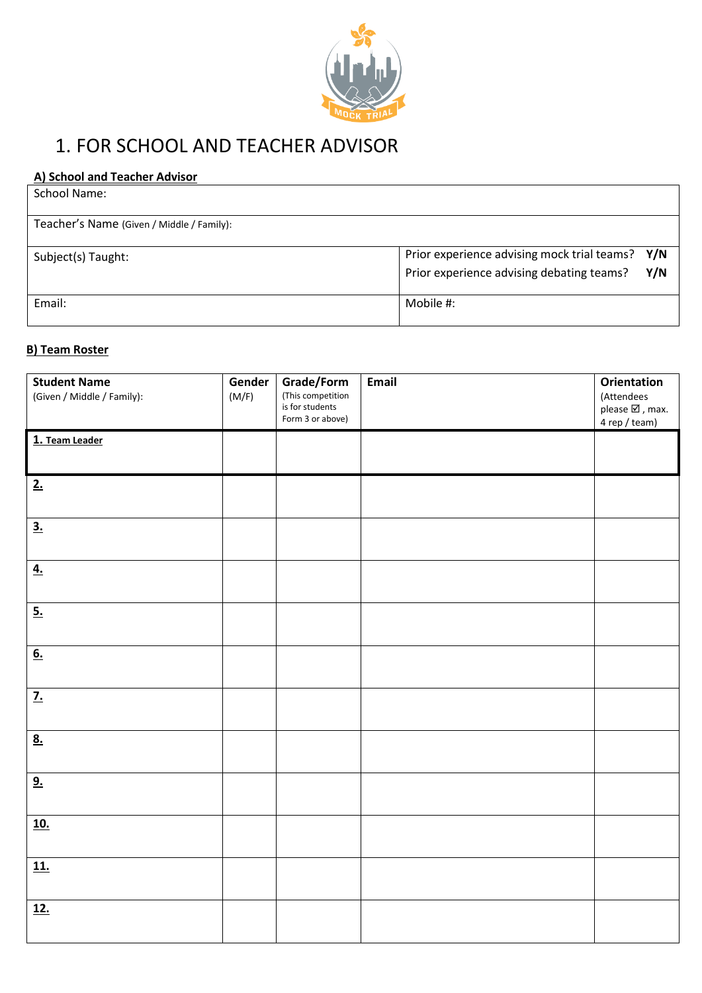

# 1. FOR SCHOOL AND TEACHER ADVISOR

## **A) School and Teacher Advisor**

| School Name:                              |                                                  |
|-------------------------------------------|--------------------------------------------------|
| Teacher's Name (Given / Middle / Family): |                                                  |
| Subject(s) Taught:                        | Prior experience advising mock trial teams? Y/N  |
|                                           | Prior experience advising debating teams?<br>Y/N |
| Email:                                    | Mobile #:                                        |

## **B) Team Roster**

| <b>Student Name</b><br>(Given / Middle / Family): | Gender<br>(M/F) | Grade/Form<br>(This competition<br>is for students<br>Form 3 or above) | Email | <b>Orientation</b><br>(Attendees<br>please $\boxtimes$ , max.<br>4 rep / team) |
|---------------------------------------------------|-----------------|------------------------------------------------------------------------|-------|--------------------------------------------------------------------------------|
| 1. Team Leader                                    |                 |                                                                        |       |                                                                                |
| 2.                                                |                 |                                                                        |       |                                                                                |
| $\overline{\mathbf{3.}}$                          |                 |                                                                        |       |                                                                                |
| $\underline{4.}$                                  |                 |                                                                        |       |                                                                                |
| 5.                                                |                 |                                                                        |       |                                                                                |
| 6.                                                |                 |                                                                        |       |                                                                                |
| <u>7.</u>                                         |                 |                                                                        |       |                                                                                |
| 8.                                                |                 |                                                                        |       |                                                                                |
| 9.                                                |                 |                                                                        |       |                                                                                |
| <u>10.</u>                                        |                 |                                                                        |       |                                                                                |
| <u>11.</u>                                        |                 |                                                                        |       |                                                                                |
| <u>12.</u>                                        |                 |                                                                        |       |                                                                                |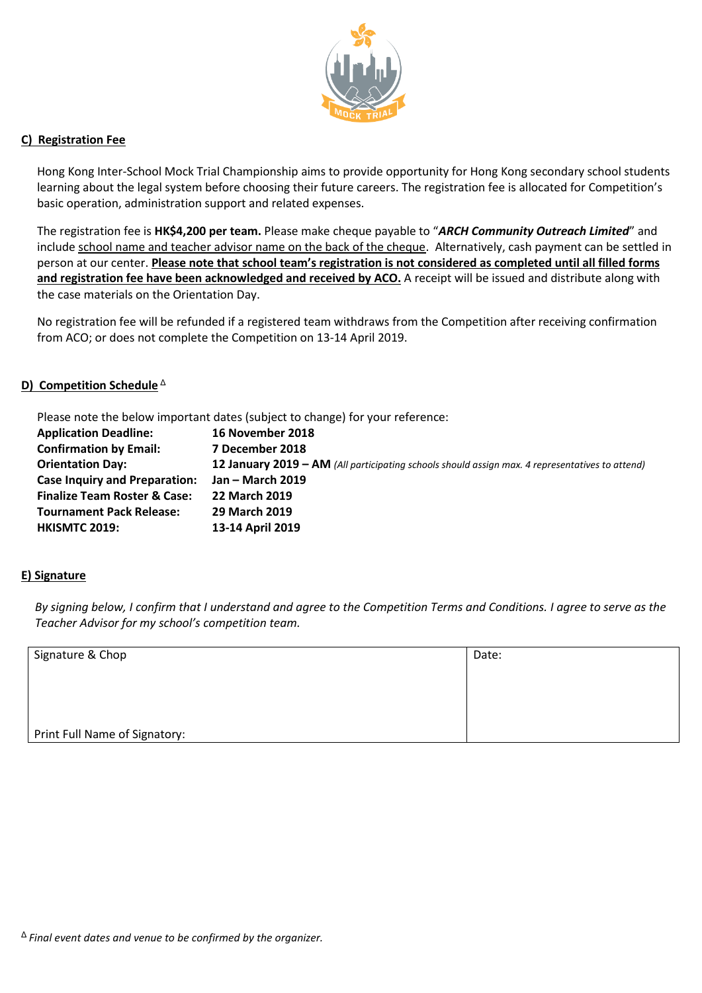

#### **C) Registration Fee**

Hong Kong Inter-School Mock Trial Championship aims to provide opportunity for Hong Kong secondary school students learning about the legal system before choosing their future careers. The registration fee is allocated for Competition's basic operation, administration support and related expenses.

The registration fee is **HK\$4,200 per team.** Please make cheque payable to "*ARCH Community Outreach Limited*" and include school name and teacher advisor name on the back of the cheque. Alternatively, cash payment can be settled in person at our center. **Please note that school team's registration is not considered as completed until all filled forms and registration fee have been acknowledged and received by ACO.** A receipt will be issued and distribute along with the case materials on the Orientation Day.

No registration fee will be refunded if a registered team withdraws from the Competition after receiving confirmation from ACO; or does not complete the Competition on 13-14 April 2019.

#### **D)** Competition Schedule<sup>Δ</sup>

Please note the below important dates (subject to change) for your reference:

| <b>Application Deadline:</b>            | 16 November 2018                                                                                       |
|-----------------------------------------|--------------------------------------------------------------------------------------------------------|
| <b>Confirmation by Email:</b>           | 7 December 2018                                                                                        |
| <b>Orientation Day:</b>                 | <b>12 January 2019 – AM</b> (All participating schools should assign max. 4 representatives to attend) |
| <b>Case Inquiry and Preparation:</b>    | Jan – March 2019                                                                                       |
| <b>Finalize Team Roster &amp; Case:</b> | 22 March 2019                                                                                          |
| <b>Tournament Pack Release:</b>         | 29 March 2019                                                                                          |
| <b>HKISMTC 2019:</b>                    | 13-14 April 2019                                                                                       |

#### **E) Signature**

*By signing below, I confirm that I understand and agree to the Competition Terms and Conditions. I agree to serve as the Teacher Advisor for my school's competition team.* 

| Signature & Chop              | Date: |
|-------------------------------|-------|
|                               |       |
|                               |       |
|                               |       |
| Print Full Name of Signatory: |       |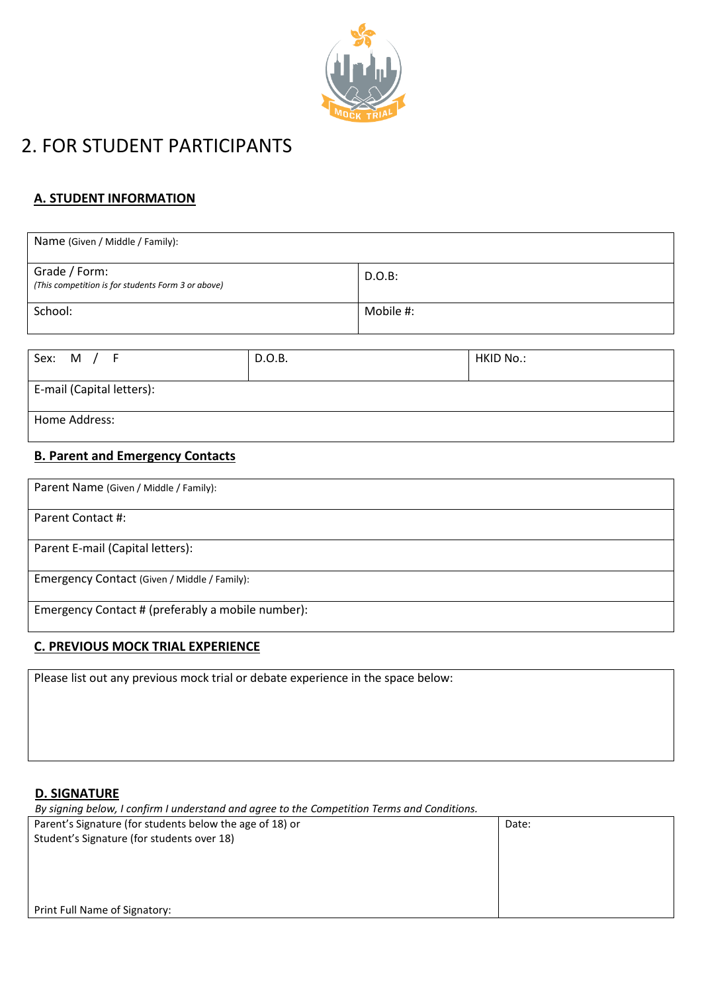

# 2. FOR STUDENT PARTICIPANTS

## **A. STUDENT INFORMATION**

| Name (Given / Middle / Family):                                     |           |
|---------------------------------------------------------------------|-----------|
| Grade / Form:<br>(This competition is for students Form 3 or above) | D.O.B:    |
| School:                                                             | Mobile #: |

| Sex: M / F                | D.O.B. | HKID No.: |
|---------------------------|--------|-----------|
| E-mail (Capital letters): |        |           |
| Home Address:             |        |           |

### **B. Parent and Emergency Contacts**

| Parent Name (Given / Middle / Family):            |
|---------------------------------------------------|
| Parent Contact #:                                 |
| Parent E-mail (Capital letters):                  |
| Emergency Contact (Given / Middle / Family):      |
| Emergency Contact # (preferably a mobile number): |

## **C. PREVIOUS MOCK TRIAL EXPERIENCE**

Please list out any previous mock trial or debate experience in the space below:

## **D. SIGNATURE**

| By signing below, I confirm I understand and agree to the Competition Terms and Conditions. |       |  |  |
|---------------------------------------------------------------------------------------------|-------|--|--|
| Parent's Signature (for students below the age of 18) or                                    | Date: |  |  |
| Student's Signature (for students over 18)                                                  |       |  |  |
|                                                                                             |       |  |  |
|                                                                                             |       |  |  |
|                                                                                             |       |  |  |
|                                                                                             |       |  |  |
| Print Full Name of Signatory:                                                               |       |  |  |